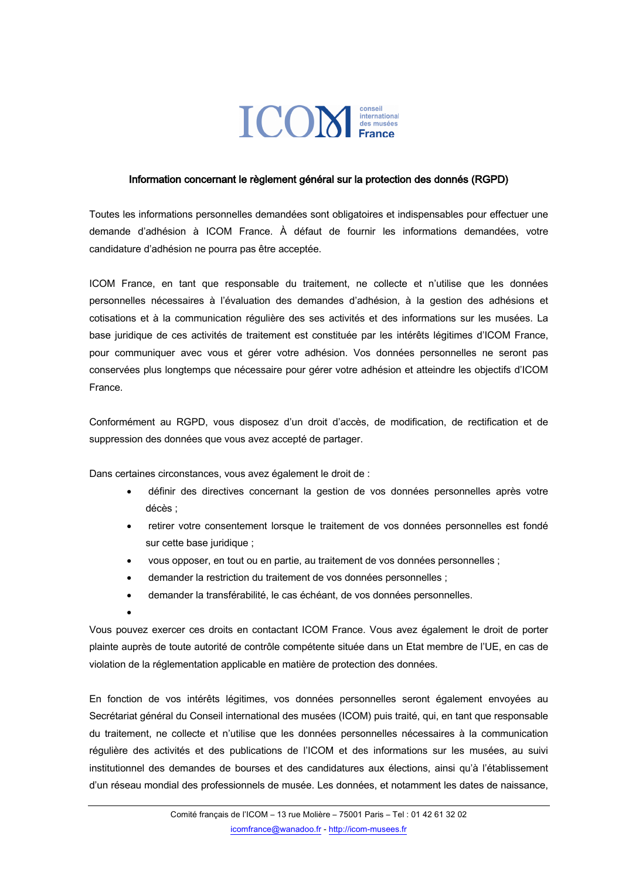

## Information concernant le règlement général sur la protection des donnés (RGPD)

Toutes les informations personnelles demandées sont obligatoires et indispensables pour effectuer une demande d'adhésion à ICOM France. À défaut de fournir les informations demandées, votre candidature d'adhésion ne pourra pas être acceptée.

ICOM France, en tant que responsable du traitement, ne collecte et n'utilise que les données personnelles nécessaires à l'évaluation des demandes d'adhésion, à la gestion des adhésions et cotisations et à la communication régulière des ses activités et des informations sur les musées. La base juridique de ces activités de traitement est constituée par les intérêts légitimes d'ICOM France, pour communiquer avec vous et gérer votre adhésion. Vos données personnelles ne seront pas conservées plus longtemps que nécessaire pour gérer votre adhésion et atteindre les objectifs d'ICOM France.

Conformément au RGPD, vous disposez d'un droit d'accès, de modification, de rectification et de suppression des données que vous avez accepté de partager.

Dans certaines circonstances, vous avez également le droit de :

- définir des directives concernant la gestion de vos données personnelles après votre décès :
- retirer votre consentement lorsque le traitement de vos données personnelles est fondé sur cette base juridique ;
- vous opposer, en tout ou en partie, au traitement de vos données personnelles ;
- demander la restriction du traitement de vos données personnelles ;
- demander la transférabilité, le cas échéant, de vos données personnelles.
- 

Vous pouvez exercer ces droits en contactant ICOM France. Vous avez également le droit de porter plainte auprès de toute autorité de contrôle compétente située dans un Etat membre de l'UE, en cas de violation de la réglementation applicable en matière de protection des données.

En fonction de vos intérêts légitimes, vos données personnelles seront également envoyées au Secrétariat général du Conseil international des musées (ICOM) puis traité, qui, en tant que responsable du traitement, ne collecte et n'utilise que les données personnelles nécessaires à la communication réquilère des activités et des publications de l'ICOM et des informations sur les musées, au suivi institutionnel des demandes de bourses et des candidatures aux élections, ainsi qu'à l'établissement d'un réseau mondial des professionnels de musée. Les données, et notamment les dates de naissance,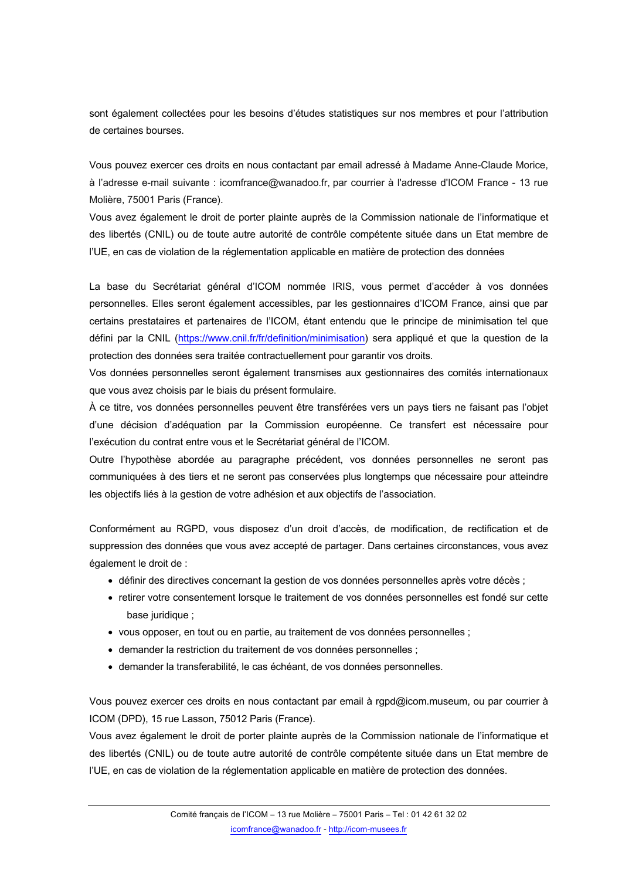sont également collectées pour les besoins d'études statistiques sur nos membres et pour l'attribution de certaines bourses.

Vous pouvez exercer ces droits en nous contactant par email adressé à Madame Anne-Claude Morice, à l'adresse e-mail suivante : icomfrance@wanadoo.fr. par courrier à l'adresse d'ICOM France - 13 rue Molière, 75001 Paris (France).

Vous avez également le droit de porter plainte auprès de la Commission nationale de l'informatique et des libertés (CNIL) ou de toute autre autorité de contrôle compétente située dans un Etat membre de l'UE, en cas de violation de la réglementation applicable en matière de protection des données

La base du Secrétariat général d'ICOM nommée IRIS, vous permet d'accéder à vos données personnelles. Elles seront également accessibles, par les gestionnaires d'ICOM France, ainsi que par certains prestataires et partenaires de l'ICOM, étant entendu que le principe de minimisation tel que défini par la CNIL (https://www.cnil.fr/fr/definition/minimisation) sera appliqué et que la question de la protection des données sera traitée contractuellement pour garantir vos droits.

Vos données personnelles seront également transmises aux gestionnaires des comités internationaux que vous avez choisis par le biais du présent formulaire.

À ce titre, vos données personnelles peuvent être transférées vers un pays tiers ne faisant pas l'objet d'une décision d'adéquation par la Commission européenne. Ce transfert est nécessaire pour l'exécution du contrat entre vous et le Secrétariat général de l'ICOM.

Outre l'hypothèse abordée au paragraphe précédent, vos données personnelles ne seront pas communiquées à des tiers et ne seront pas conservées plus longtemps que nécessaire pour atteindre les objectifs liés à la gestion de votre adhésion et aux objectifs de l'association.

Conformément au RGPD, vous disposez d'un droit d'accès, de modification, de rectification et de suppression des données que vous avez accepté de partager. Dans certaines circonstances, vous avez également le droit de :

- définir des directives concernant la gestion de vos données personnelles après votre décès :
- retirer votre consentement lorsque le traitement de vos données personnelles est fondé sur cette base iuridique :
- vous opposer, en tout ou en partie, au traitement de vos données personnelles ;
- · demander la restriction du traitement de vos données personnelles ;
- · demander la transferabilité, le cas échéant, de vos données personnelles.

Vous pouvez exercer ces droits en nous contactant par email à rgpd@icom.museum, ou par courrier à ICOM (DPD), 15 rue Lasson, 75012 Paris (France).

Vous avez également le droit de porter plainte auprès de la Commission nationale de l'informatique et des libertés (CNIL) ou de toute autre autorité de contrôle compétente située dans un Etat membre de l'UE, en cas de violation de la réglementation applicable en matière de protection des données.